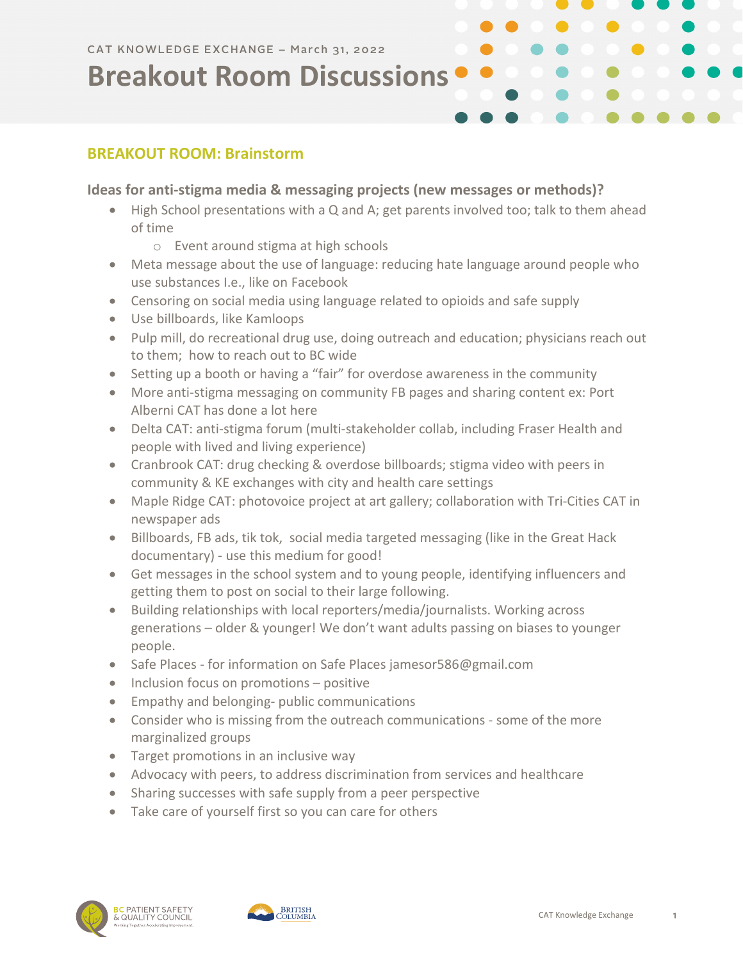## **Breakout Room Discussions**

#### **BREAKOUT ROOM: Brainstorm**

#### **Ideas for anti-stigma media & messaging projects (new messages or methods)?**

- High School presentations with a Q and A; get parents involved too; talk to them ahead of time
	- o Event around stigma at high schools
- Meta message about the use of language: reducing hate language around people who use substances I.e., like on Facebook
- Censoring on social media using language related to opioids and safe supply
- Use billboards, like Kamloops
- Pulp mill, do recreational drug use, doing outreach and education; physicians reach out to them; how to reach out to BC wide
- Setting up a booth or having a "fair" for overdose awareness in the community
- More anti-stigma messaging on community FB pages and sharing content ex: Port Alberni CAT has done a lot here
- Delta CAT: anti-stigma forum (multi-stakeholder collab, including Fraser Health and people with lived and living experience)
- Cranbrook CAT: drug checking & overdose billboards; stigma video with peers in community & KE exchanges with city and health care settings
- Maple Ridge CAT: photovoice project at art gallery; collaboration with Tri-Cities CAT in newspaper ads
- Billboards, FB ads, tik tok, social media targeted messaging (like in the Great Hack documentary) - use this medium for good!
- Get messages in the school system and to young people, identifying influencers and getting them to post on social to their large following.
- Building relationships with local reporters/media/journalists. Working across generations – older & younger! We don't want adults passing on biases to younger people.
- Safe Places for information on Safe Places jamesor586@gmail.com
- Inclusion focus on promotions positive
- Empathy and belonging- public communications
- Consider who is missing from the outreach communications some of the more marginalized groups
- Target promotions in an inclusive way
- Advocacy with peers, to address discrimination from services and healthcare
- Sharing successes with safe supply from a peer perspective
- Take care of yourself first so you can care for others



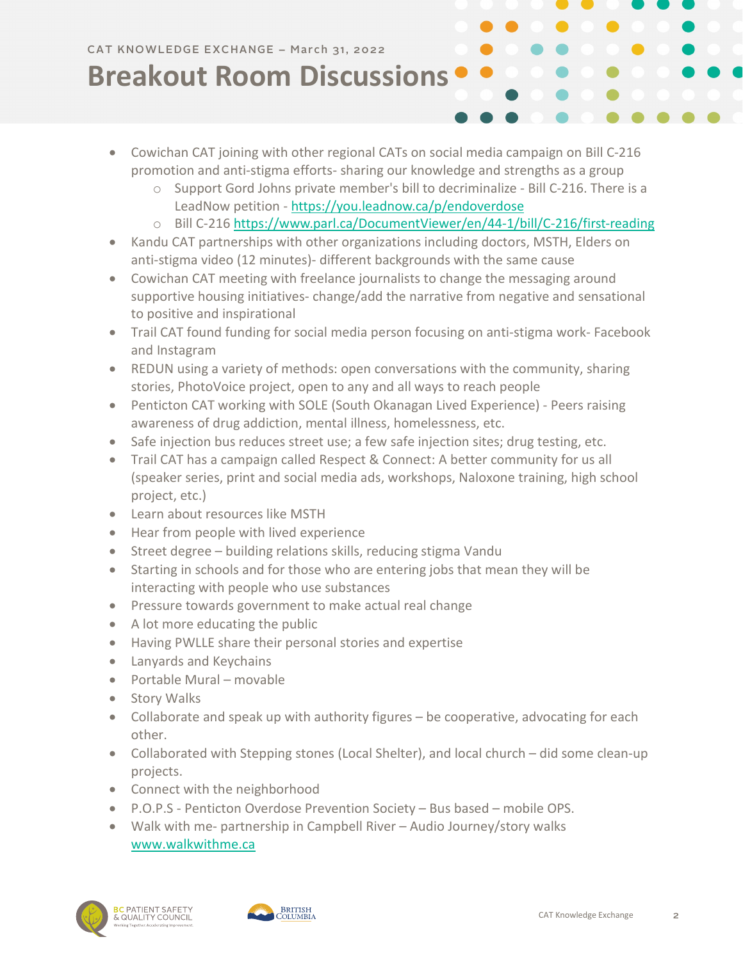## **Breakout Room Discussions**

- Cowichan CAT joining with other regional CATs on social media campaign on Bill C-216 promotion and anti-stigma efforts- sharing our knowledge and strengths as a group
	- $\circ$  Support Gord Johns private member's bill to decriminalize Bill C-216. There is a LeadNow petition - <https://you.leadnow.ca/p/endoverdose>
	- o Bill C-216<https://www.parl.ca/DocumentViewer/en/44-1/bill/C-216/first-reading>
- Kandu CAT partnerships with other organizations including doctors, MSTH, Elders on anti-stigma video (12 minutes)- different backgrounds with the same cause
- Cowichan CAT meeting with freelance journalists to change the messaging around supportive housing initiatives- change/add the narrative from negative and sensational to positive and inspirational
- Trail CAT found funding for social media person focusing on anti-stigma work- Facebook and Instagram
- REDUN using a variety of methods: open conversations with the community, sharing stories, PhotoVoice project, open to any and all ways to reach people
- Penticton CAT working with SOLE (South Okanagan Lived Experience) Peers raising awareness of drug addiction, mental illness, homelessness, etc.
- Safe injection bus reduces street use; a few safe injection sites; drug testing, etc.
- Trail CAT has a campaign called Respect & Connect: A better community for us all (speaker series, print and social media ads, workshops, Naloxone training, high school project, etc.)
- Learn about resources like MSTH
- Hear from people with lived experience
- Street degree building relations skills, reducing stigma Vandu
- Starting in schools and for those who are entering jobs that mean they will be interacting with people who use substances
- Pressure towards government to make actual real change
- A lot more educating the public
- Having PWLLE share their personal stories and expertise
- Lanyards and Keychains
- Portable Mural movable
- Story Walks
- Collaborate and speak up with authority figures be cooperative, advocating for each other.
- Collaborated with Stepping stones (Local Shelter), and local church did some clean-up projects.
- Connect with the neighborhood
- P.O.P.S Penticton Overdose Prevention Society Bus based mobile OPS.
- Walk with me- partnership in Campbell River Audio Journey/story walks [www.walkwithme.ca](http://www.walkwithme.ca/)